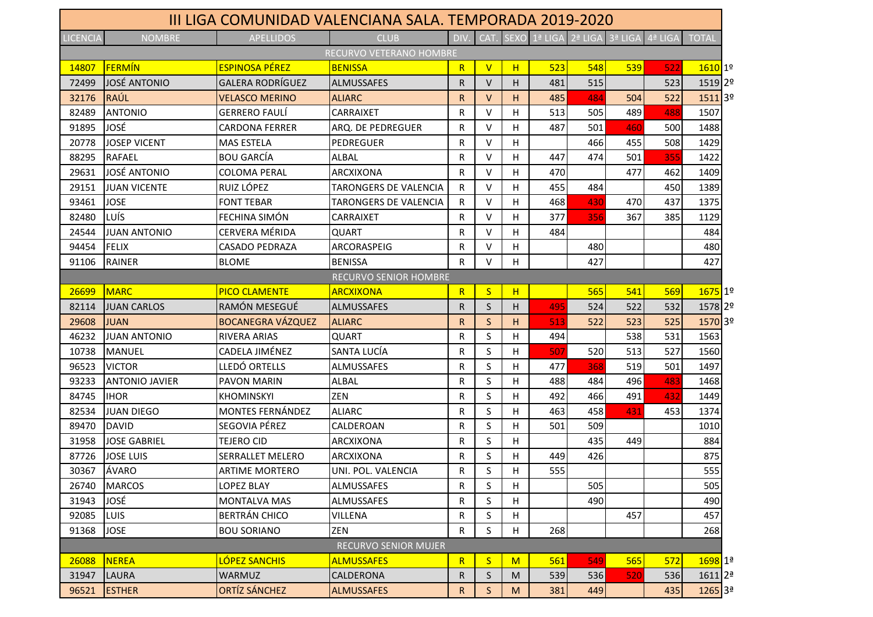|                 |                       |                          | <u>III LIGA COMUNIDAD VALENCIANA SALA. TEMPORADA 2019-2020</u><br><b>CLUB</b> |              |              |             |         |         | $3a$ LIGA |         |                    |
|-----------------|-----------------------|--------------------------|-------------------------------------------------------------------------------|--------------|--------------|-------------|---------|---------|-----------|---------|--------------------|
| <b>LICENCIA</b> | <b>NOMBRE</b>         | <b>APELLIDOS</b>         | RECURVO VETERANO HOMBRE                                                       | <b>DIV</b>   | CAT.         | <b>SEXO</b> | 1ª LIGA | 2ª LIGA |           | 4ª LIGA | <b>TOTAL</b>       |
| 14807           | FERMÍN                | <b>ESPINOSA PÉREZ</b>    | <b>BENISSA</b>                                                                | R            | $\mathsf{V}$ | H           | 523     | 548     | 539       | 522     | $1610$ 1º          |
| 72499           | <b>JOSÉ ANTONIO</b>   | <b>GALERA RODRÍGUEZ</b>  | <b>ALMUSSAFES</b>                                                             | R            | $\vee$       | H.          | 481     | 515     |           | 523     | 1519 2º            |
| 32176           | RAÚL                  | VELASCO MERINO           | <b>ALIARC</b>                                                                 | R            | V            | H.          | 485     | 484     | 504       | 522     | 1511 3º            |
| 82489           | <b>ANTONIO</b>        | <b>GERRERO FAULÍ</b>     | <b>CARRAIXET</b>                                                              | R            | $\vee$       | H           | 513     | 505     | 489       | 488     | 1507               |
| 91895           | JOSÉ                  | <b>CARDONA FERRER</b>    | ARQ. DE PEDREGUER                                                             | R            | $\vee$       | H.          | 487     | 501     | 460       | 500     | 1488               |
| 20778           | <b>JOSEP VICENT</b>   | <b>MAS ESTELA</b>        | PEDREGUER                                                                     | R            | $\vee$       | H           |         | 466     | 455       | 508     | 1429               |
| 88295           | <b>RAFAEL</b>         | <b>BOU GARCÍA</b>        | ALBAL                                                                         | R            | $\vee$       | н           | 447     | 474     | 501       | 355     | 1422               |
| 29631           | JOSÉ ANTONIO          | <b>COLOMA PERAL</b>      | <b>ARCXIXONA</b>                                                              | R            | V            | н           | 470     |         | 477       | 462     | 1409               |
| 29151           | <b>JUAN VICENTE</b>   | RUIZ LÓPEZ               | TARONGERS DE VALENCIA                                                         | R            | $\vee$       | H.          | 455     | 484     |           | 450     | 1389               |
| 93461           | <b>JOSE</b>           | <b>FONT TEBAR</b>        | TARONGERS DE VALENCIA                                                         | R            | $\vee$       | H.          | 468     | 430     | 470       | 437     | 1375               |
| 82480           | LUÍS                  | FECHINA SIMÓN            | <b>CARRAIXET</b>                                                              | R            | $\vee$       | H           | 377     | 356     | 367       | 385     | 1129               |
| 24544           | <b>JUAN ANTONIO</b>   | CERVERA MÉRIDA           | <b>QUART</b>                                                                  | R            | $\vee$       | H           | 484     |         |           |         | 484                |
| 94454           | <b>FELIX</b>          | <b>CASADO PEDRAZA</b>    | ARCORASPEIG                                                                   | R            | V            | H.          |         | 480     |           |         | 480                |
| 91106           | <b>RAINER</b>         | <b>BLOME</b>             | <b>BENISSA</b>                                                                | R            | $\vee$       | H.          |         | 427     |           |         | 427                |
|                 |                       |                          | <b>RECURVO SENIOR HOMBRE</b>                                                  |              |              |             |         |         |           |         |                    |
| 26699           | <b>MARC</b>           | <b>PICO CLAMENTE</b>     | <b>ARCXIXONA</b>                                                              | $\mathsf{R}$ | $\mathsf{S}$ | H           |         | 565     | 541       | 569     | $1675$ 1º          |
| 82114           | <b>JUAN CARLOS</b>    | RAMÓN MESEGUÉ            | <b>ALMUSSAFES</b>                                                             | R            | <sub>S</sub> | H.          | 495     | 524     | 522       | 532     | 1578 2º            |
| 29608           | <b>JUAN</b>           | <b>BOCANEGRA VÁZQUEZ</b> | <b>ALIARC</b>                                                                 | R            | S            | H.          | 513     | 522     | 523       | 525     | 1570 3º            |
| 46232           | <b>JUAN ANTONIO</b>   | <b>RIVERA ARIAS</b>      | <b>QUART</b>                                                                  | R            | S            | H           | 494     |         | 538       | 531     | 1563               |
| 10738           | <b>MANUEL</b>         | CADELA JIMÉNEZ           | SANTA LUCÍA                                                                   | R            | S            | H.          | 507     | 520     | 513       | 527     | 1560               |
| 96523           | <b>VICTOR</b>         | LLEDÓ ORTELLS            | <b>ALMUSSAFES</b>                                                             | R            | S            | H           | 477     | 368     | 519       | 501     | 1497               |
| 93233           | <b>ANTONIO JAVIER</b> | <b>PAVON MARIN</b>       | <b>ALBAL</b>                                                                  | R            | S            | H           | 488     | 484     | 496       | 483     | 1468               |
| 84745           | <b>IHOR</b>           | <b>KHOMINSKYI</b>        | ZEN                                                                           | R            | S            | H           | 492     | 466     | 491       | 432     | 1449               |
| 82534           | <b>JUAN DIEGO</b>     | <b>MONTES FERNÁNDEZ</b>  | <b>ALIARC</b>                                                                 | R            | S            | H           | 463     | 458     | 431       | 453     | 1374               |
| 89470           | <b>DAVID</b>          | SEGOVIA PÉREZ            | CALDEROAN                                                                     | R            | S            | H.          | 501     | 509     |           |         | 1010               |
| 31958           | <b>JOSE GABRIEL</b>   | <b>TEJERO CID</b>        | ARCXIXONA                                                                     | R            | S            | H           |         | 435     | 449       |         | 884                |
| 87726           | <b>JOSE LUIS</b>      | <b>SERRALLET MELERO</b>  | <b>ARCXIXONA</b>                                                              | R            | S            | н           | 449     | 426     |           |         | 875                |
| 30367           | ÁVARO                 | <b>ARTIME MORTERO</b>    | UNI. POL. VALENCIA                                                            | R            | $\varsigma$  | н           | 555     |         |           |         | 555                |
| 26740           | <b>MARCOS</b>         | LOPEZ BLAY               | ALMUSSAFES                                                                    | R            | S            | H.          |         | 505     |           |         | 505                |
| 31943           | JOSÉ                  | <b>MONTALVA MAS</b>      | ALMUSSAFES                                                                    | R            | S            | H           |         | 490     |           |         | 490                |
| 92085           | <b>LUIS</b>           | <b>BERTRÁN CHICO</b>     | VILLENA                                                                       | R            | S            | H           |         |         | 457       |         | 457                |
| 91368           | <b>JOSE</b>           | <b>BOU SORIANO</b>       | ZEN                                                                           | R            | S            | H           | 268     |         |           |         | 268                |
|                 |                       |                          | <b>RECURVO SENIOR MUJER</b>                                                   |              |              |             |         |         |           |         |                    |
| 26088           | <b>NEREA</b>          | LÓPEZ SANCHIS            | <b>ALMUSSAFES</b>                                                             | R            | S            | M           | 561     | 549     | 565       | 572     | $1698$ 1ª          |
| 31947           | <b>LAURA</b>          | <b>WARMUZ</b>            | CALDERONA                                                                     | R            | $\sf S$      | M           | 539     | 536     | 520       | 536     | 1611 <sup>2ª</sup> |
| 96521           | <b>ESTHER</b>         | <b>ORTÍZ SÁNCHEZ</b>     | <b>ALMUSSAFES</b>                                                             | R            | S.           | M           | 381     | 449     |           | 435     | 1265 3ª            |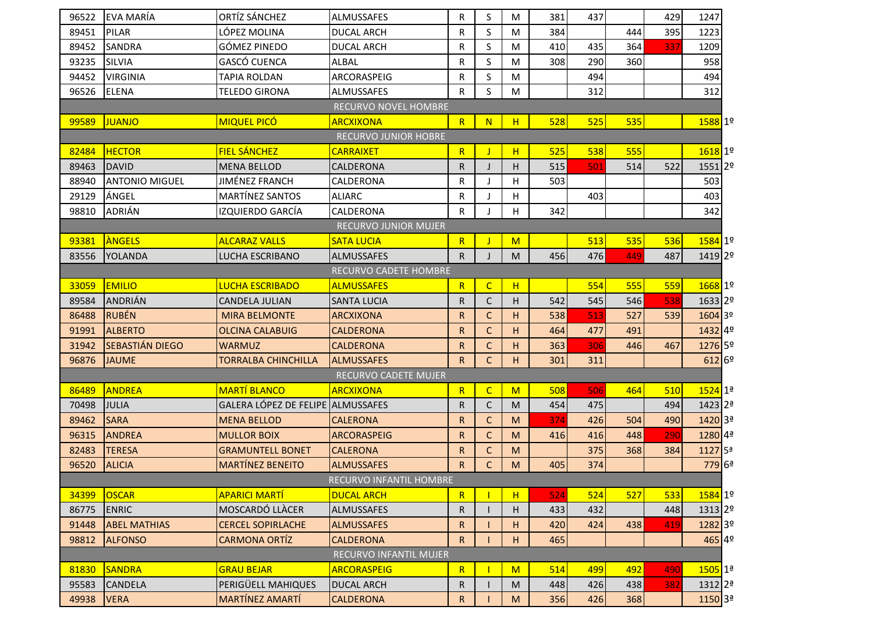| 96522                       | <b>EVA MARÍA</b>      | ORTÍZ SÁNCHEZ                     | <b>ALMUSSAFES</b>           | R            | S            | M | 381 | 437 |     | 429 | 1247               |  |
|-----------------------------|-----------------------|-----------------------------------|-----------------------------|--------------|--------------|---|-----|-----|-----|-----|--------------------|--|
| 89451                       | <b>PILAR</b>          | LÓPEZ MOLINA                      | <b>DUCAL ARCH</b>           | R            | S            | M | 384 |     | 444 | 395 | 1223               |  |
| 89452                       | <b>SANDRA</b>         | <b>GÓMEZ PINEDO</b>               | <b>DUCAL ARCH</b>           | R            | S            | M | 410 | 435 | 364 | 337 | 1209               |  |
| 93235                       | <b>SILVIA</b>         | GASCÓ CUENCA                      | ALBAL                       | R            | S            | M | 308 | 290 | 360 |     | 958                |  |
| 94452                       | <b>VIRGINIA</b>       | TAPIA ROLDAN                      | ARCORASPEIG                 | R            | S            | M |     | 494 |     |     | 494                |  |
| 96526                       | <b>ELENA</b>          | TELEDO GIRONA                     | ALMUSSAFES                  | $\mathsf{R}$ | S            | M |     | 312 |     |     | 312                |  |
|                             |                       |                                   | <b>RECURVO NOVEL HOMBRE</b> |              |              |   |     |     |     |     |                    |  |
| 99589                       | <b>JUANJO</b>         | <b>MIQUEL PICÓ</b>                | <b>ARCXIXONA</b>            | R            | N            | H | 528 | 525 | 535 |     | 1588 1º            |  |
| <b>RECURVO JUNIOR HOBRE</b> |                       |                                   |                             |              |              |   |     |     |     |     |                    |  |
| 82484                       | <b>HECTOR</b>         | FIEL SÁNCHEZ                      | <b>CARRAIXET</b>            | $\mathsf{R}$ |              | H | 525 | 538 | 555 |     | 1618 1º            |  |
| 89463                       | <b>DAVID</b>          | <b>MENA BELLOD</b>                | CALDERONA                   | $\mathsf{R}$ | J            | н | 515 | 501 | 514 | 522 | 1551 2º            |  |
| 88940                       | <b>ANTONIO MIGUEL</b> | JIMÉNEZ FRANCH                    | CALDERONA                   | R            | $\mathbf{I}$ | H | 503 |     |     |     | 503                |  |
| 29129                       | ÁNGEL                 | MARTÍNEZ SANTOS                   | <b>ALIARC</b>               | R            |              | н |     | 403 |     |     | 403                |  |
| 98810                       | <b>ADRIÁN</b>         | IZQUIERDO GARCÍA                  | <b>CALDERONA</b>            | R            |              | H | 342 |     |     |     | 342                |  |
| <b>RECURVO JUNIOR MUJER</b> |                       |                                   |                             |              |              |   |     |     |     |     |                    |  |
| 93381                       | ANGELS                | <b>ALCARAZ VALLS</b>              | <b>SATA LUCIA</b>           | R            |              | M |     | 513 | 535 | 536 | 1584 1º            |  |
| 83556                       | <b>YOLANDA</b>        | LUCHA ESCRIBANO                   | <b>ALMUSSAFES</b>           | $\mathsf{R}$ |              | M | 456 | 476 | 449 | 487 | 1419 2º            |  |
| RECURVO CADETE HOMBRE       |                       |                                   |                             |              |              |   |     |     |     |     |                    |  |
| 33059                       | <b>EMILIO</b>         | <b>LUCHA ESCRIBADO</b>            | <b>ALMUSSAFES</b>           | R            | $\mathsf{C}$ | H |     | 554 | 555 | 559 | 1668 1º            |  |
| 89584                       | <b>ANDRIÁN</b>        | <b>CANDELA JULIAN</b>             | <b>SANTA LUCIA</b>          | R            | C            | н | 542 | 545 | 546 | 538 | 1633 2º            |  |
| 86488                       | RUBÉN                 | <b>MIRA BELMONTE</b>              | <b>ARCXIXONA</b>            | R            | $\mathsf C$  | Н | 538 | 513 | 527 | 539 | 1604 3º            |  |
| 91991                       | <b>ALBERTO</b>        | <b>OLCINA CALABUIG</b>            | <b>CALDERONA</b>            | $\sf R$      | $\mathsf C$  | H | 464 | 477 | 491 |     | 1432 49            |  |
| 31942                       | SEBASTIÁN DIEGO       | <b>WARMUZ</b>                     | <b>CALDERONA</b>            | R            | $\mathsf{C}$ | н | 363 | 306 | 446 | 467 | 1276 5º            |  |
| 96876                       | <b>JAUME</b>          | TORRALBA CHINCHILLA               | <b>ALMUSSAFES</b>           | $\mathsf{R}$ | $\mathsf{C}$ | н | 301 | 311 |     |     | 612 6 <sup>0</sup> |  |
|                             |                       |                                   | RECURVO CADETE MUJER        |              |              |   |     |     |     |     |                    |  |
| 86489                       | <b>ANDREA</b>         | <b>MARTÍ BLANCO</b>               | <b>ARCXIXONA</b>            | $\mathsf{R}$ | $\mathsf{C}$ | M | 508 | 506 | 464 | 510 | 1524 1ª            |  |
| 70498                       | <b>JULIA</b>          | GALERA LÓPEZ DE FELIPE ALMUSSAFES |                             | R            | $\mathsf C$  | M | 454 | 475 |     | 494 | 1423 2ª            |  |
| 89462                       | <b>SARA</b>           | <b>MENA BELLOD</b>                | <b>CALERONA</b>             | R            | $\mathsf{C}$ | M | 374 | 426 | 504 | 490 | 1420 <sub>3ª</sub> |  |
| 96315                       | <b>ANDREA</b>         | <b>MULLOR BOIX</b>                | <b>ARCORASPEIG</b>          | $\mathsf{R}$ | $\mathsf{C}$ | M | 416 | 416 | 448 | 290 | 1280 4ª            |  |
| 82483                       | <b>TERESA</b>         | <b>GRAMUNTELL BONET</b>           | <b>CALERONA</b>             | $\mathsf{R}$ | $\mathsf{C}$ | M |     | 375 | 368 | 384 | 1127 5ª            |  |
| 96520                       | <b>ALICIA</b>         | <b>MARTÍNEZ BENEITO</b>           | <b>ALMUSSAFES</b>           | R            | $\mathsf C$  | M | 405 | 374 |     |     | 779 6ª             |  |
|                             |                       |                                   | RECURVO INFANTIL HOMBRE     |              |              |   |     |     |     |     |                    |  |
| 34399                       | <b>OSCAR</b>          | <b>APARICI MARTÍ</b>              | <b>DUCAL ARCH</b>           | $\mathsf{R}$ |              | H | 524 | 524 | 527 | 533 | 1584 1º            |  |
| 86775                       | <b>ENRIC</b>          | <b>MOSCARDÓ LLÀCER</b>            | ALMUSSAFES                  | R            |              | н | 433 | 432 |     | 448 | 1313 2º            |  |
| 91448                       | <b>ABEL MATHIAS</b>   | <b>CERCEL SOPIRLACHE</b>          | <b>ALMUSSAFES</b>           | R            |              | н | 420 | 424 | 438 | 419 | 1282 3º            |  |
| 98812                       | <b>ALFONSO</b>        | <b>CARMONA ORTÍZ</b>              | <b>CALDERONA</b>            | $\mathsf{R}$ |              | н | 465 |     |     |     | 465 49             |  |
|                             |                       |                                   | RECURVO INFANTIL MUJER      |              |              |   |     |     |     |     |                    |  |
| 81830                       | <b>SANDRA</b>         | <b>GRAU BEJAR</b>                 | <b>ARCORASPEIG</b>          | R            |              | M | 514 | 499 | 492 | 490 | 1505 1ª            |  |
| 95583                       | <b>CANDELA</b>        | PERIGÜELL MAHIQUES                | <b>DUCAL ARCH</b>           | R            |              | M | 448 | 426 | 438 | 382 | 1312 2ª            |  |
| 49938                       | <b>VERA</b>           | <b>MARTÍNEZ AMARTÍ</b>            | <b>CALDERONA</b>            | R            |              | M | 356 | 426 | 368 |     | 1150 <sup>3ª</sup> |  |
|                             |                       |                                   |                             |              |              |   |     |     |     |     |                    |  |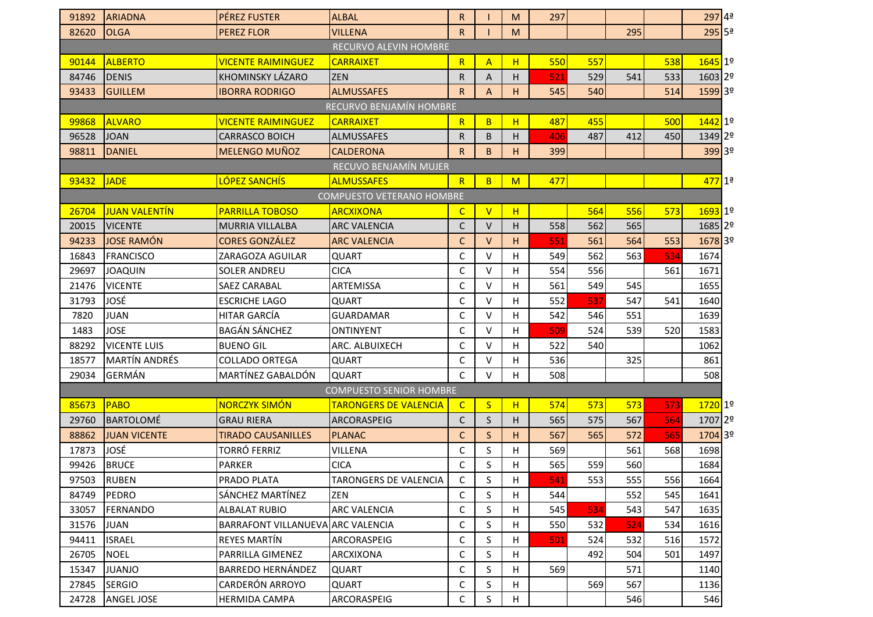| 91892                            | <b>ARIADNA</b>       | PÉREZ FUSTER                      | <b>ALBAL</b>                   | $\mathsf{R}$ |                         | M            | 297 |     |     |     | 297 4ª               |  |
|----------------------------------|----------------------|-----------------------------------|--------------------------------|--------------|-------------------------|--------------|-----|-----|-----|-----|----------------------|--|
| 82620                            | <b>OLGA</b>          | <b>PEREZ FLOR</b>                 | <b>VILLENA</b>                 | $\mathsf{R}$ |                         | M            |     |     | 295 |     | $295$ 5 <sup>ª</sup> |  |
| <b>RECURVO ALEVIN HOMBRE</b>     |                      |                                   |                                |              |                         |              |     |     |     |     |                      |  |
| 90144                            | <b>ALBERTO</b>       | <b>VICENTE RAIMINGUEZ</b>         | <b>CARRAIXET</b>               | R            | $\overline{A}$          | H            | 550 | 557 |     | 538 | 1645 1º              |  |
| 84746                            | <b>DENIS</b>         | KHOMINSKY LÁZARO                  | <b>ZEN</b>                     | $\mathsf{R}$ | A                       | Н            | 521 | 529 | 541 | 533 | 1603 2º              |  |
| 93433                            | <b>GUILLEM</b>       | <b>IBORRA RODRIGO</b>             | <b>ALMUSSAFES</b>              | $\mathsf{R}$ | $\overline{A}$          | H            | 545 | 540 |     | 514 | 1599 3º              |  |
|                                  |                      |                                   | RECURVO BENJAMÍN HOMBRE        |              |                         |              |     |     |     |     |                      |  |
| 99868                            | <b>ALVARO</b>        | <b>VICENTE RAIMINGUEZ</b>         | <b>CARRAIXET</b>               | R            | B                       | H            | 487 | 455 |     | 500 | 1442 1º              |  |
| 96528                            | <b>JOAN</b>          | <b>CARRASCO BOICH</b>             | <b>ALMUSSAFES</b>              | $\mathsf{R}$ | B                       | H            | 406 | 487 | 412 | 450 | 1349 2º              |  |
| 98811                            | <b>DANIEL</b>        | <b>MELENGO MUÑOZ</b>              | <b>CALDERONA</b>               | $\mathsf{R}$ | B                       | н            | 399 |     |     |     | 399 3º               |  |
|                                  |                      |                                   | RECUVO BENJAMÍN MUJER          |              |                         |              |     |     |     |     |                      |  |
| 93432                            | <b>JADE</b>          | LÓPEZ SANCHÍS                     | <b>ALMUSSAFES</b>              | R            | B                       | M            | 477 |     |     |     | 477 1ª               |  |
| <b>COMPUESTO VETERANO HOMBRE</b> |                      |                                   |                                |              |                         |              |     |     |     |     |                      |  |
| 26704                            | <b>JUAN VALENTÍN</b> | <b>PARRILLA TOBOSO</b>            | <b>ARCXIXONA</b>               | $\mathsf{C}$ | $\overline{\mathsf{V}}$ | H            |     | 564 | 556 | 573 | $1693$ 1º            |  |
| 20015                            | <b>VICENTE</b>       | <b>MURRIA VILLALBA</b>            | <b>ARC VALENCIA</b>            | C            | $\vee$                  | H            | 558 | 562 | 565 |     | 1685 2º              |  |
| 94233                            | <b>JOSE RAMÓN</b>    | <b>CORES GONZÁLEZ</b>             | <b>ARC VALENCIA</b>            | $\mathsf{C}$ | $\vee$                  | H            | 551 | 561 | 564 | 553 | 1678 3º              |  |
| 16843                            | <b>FRANCISCO</b>     | ZARAGOZA AGUILAR                  | <b>QUART</b>                   | C            | $\vee$                  | н            | 549 | 562 | 563 | 534 | 1674                 |  |
| 29697                            | <b>JOAQUIN</b>       | <b>SOLER ANDREU</b>               | <b>CICA</b>                    | C            | $\vee$                  | Н            | 554 | 556 |     | 561 | 1671                 |  |
| 21476                            | <b>VICENTE</b>       | SAEZ CARABAL                      | ARTEMISSA                      | $\mathsf{C}$ | $\vee$                  | H            | 561 | 549 | 545 |     | 1655                 |  |
| 31793                            | JOSÉ                 | <b>ESCRICHE LAGO</b>              | <b>QUART</b>                   | C            | $\vee$                  | Н            | 552 | 537 | 547 | 541 | 1640                 |  |
| 7820                             | <b>JUAN</b>          | HITAR GARCÍA                      | <b>GUARDAMAR</b>               | $\mathsf{C}$ | $\vee$                  | H            | 542 | 546 | 551 |     | 1639                 |  |
| 1483                             | <b>JOSE</b>          | <b>BAGÁN SÁNCHEZ</b>              | ONTINYENT                      | $\mathsf C$  | $\vee$                  | Н            | 509 | 524 | 539 | 520 | 1583                 |  |
| 88292                            | <b>VICENTE LUIS</b>  | <b>BUENO GIL</b>                  | ARC. ALBUIXECH                 | C            | $\vee$                  | Н            | 522 | 540 |     |     | 1062                 |  |
| 18577                            | <b>MARTÍN ANDRÉS</b> | <b>COLLADO ORTEGA</b>             | <b>QUART</b>                   | $\mathsf{C}$ | $\vee$                  | H            | 536 |     | 325 |     | 861                  |  |
| 29034                            | <b>GERMÁN</b>        | MARTÍNEZ GABALDÓN                 | <b>QUART</b>                   | $\mathsf{C}$ | $\vee$                  | H            | 508 |     |     |     | 508                  |  |
|                                  |                      |                                   | <b>COMPUESTO SENIOR HOMBRE</b> |              |                         |              |     |     |     |     |                      |  |
| 85673                            | <b>PABO</b>          | NORCZYK SIMÓN                     | <b>TARONGERS DE VALENCIA</b>   | $\mathsf{C}$ | $\mathsf{S}$            | H            | 574 | 573 | 573 | 573 | 1720 1º              |  |
| 29760                            | <b>BARTOLOMÉ</b>     | <b>GRAU RIERA</b>                 | ARCORASPEIG                    | $\mathsf{C}$ | $\sf S$                 | н            | 565 | 575 | 567 | 564 | 1707 2º              |  |
| 88862                            | <b>JUAN VICENTE</b>  | <b>TIRADO CAUSANILLES</b>         | <b>PLANAC</b>                  | $\mathsf C$  | $\mathsf{S}$            | H            | 567 | 565 | 572 | 565 | 1704 3º              |  |
| 17873                            | JOSÉ                 | <b>TORRÓ FERRIZ</b>               | VILLENA                        | C            | S                       | Н            | 569 |     | 561 | 568 | 1698                 |  |
| 99426                            | <b>BRUCE</b>         | <b>PARKER</b>                     | <b>CICA</b>                    | $\mathsf C$  | S                       | $\mathsf{H}$ | 565 | 559 | 560 |     | 1684                 |  |
| 97503                            | <b>RUBEN</b>         | PRADO PLATA                       | <b>TARONGERS DE VALENCIA</b>   | C            | S                       | н            | 541 | 553 | 555 | 556 | 1664                 |  |
| 84749                            | <b>PEDRO</b>         | SÁNCHEZ MARTÍNEZ                  | ZEN                            | $\mathsf C$  | S                       | Н            | 544 |     | 552 | 545 | 1641                 |  |
| 33057                            | <b>FERNANDO</b>      | <b>ALBALAT RUBIO</b>              | <b>ARC VALENCIA</b>            | C            | S                       | н            | 545 | 534 | 543 | 547 | 1635                 |  |
| 31576                            | <b>JUAN</b>          | BARRAFONT VILLANUEVA ARC VALENCIA |                                | C            | S                       | н            | 550 | 532 | 524 | 534 | 1616                 |  |
| 94411                            | <b>ISRAEL</b>        | REYES MARTÍN                      | ARCORASPEIG                    | С            | S                       | н            | 501 | 524 | 532 | 516 | 1572                 |  |
| 26705                            | <b>NOEL</b>          | PARRILLA GIMENEZ                  | ARCXIXONA                      | C            | S                       | н            |     | 492 | 504 | 501 | 1497                 |  |
| 15347                            | <b>JUANJO</b>        | BARREDO HERNÁNDEZ                 | QUART                          | $\mathsf C$  | S                       | н            | 569 |     | 571 |     | 1140                 |  |
| 27845                            | <b>SERGIO</b>        | CARDERÓN ARROYO                   | QUART                          | C            | S                       | н            |     | 569 | 567 |     | 1136                 |  |
| 24728                            | <b>ANGEL JOSE</b>    | <b>HERMIDA CAMPA</b>              | ARCORASPEIG                    | C            | S                       | H            |     |     | 546 |     | 546                  |  |
|                                  |                      |                                   |                                |              |                         |              |     |     |     |     |                      |  |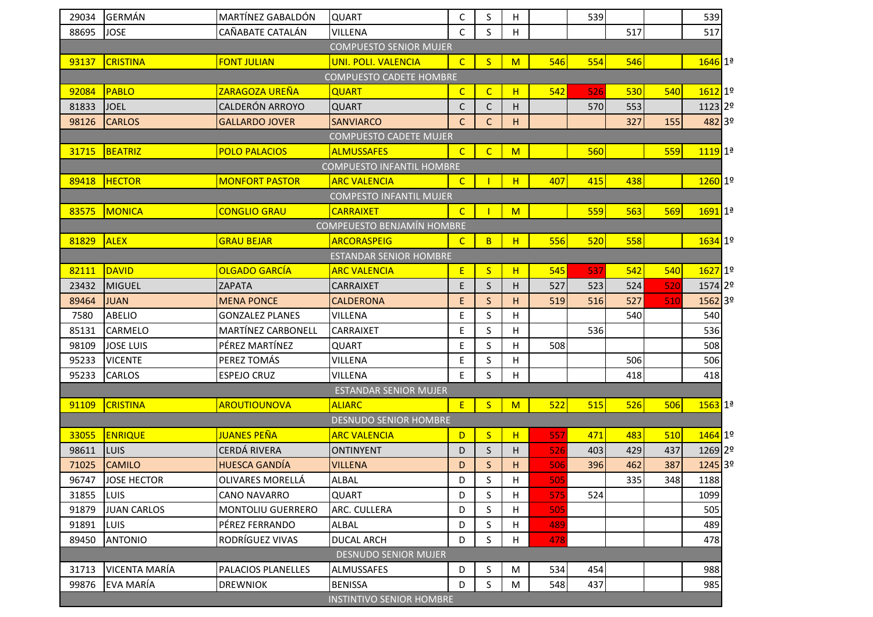| 29034 | <b>GERMÁN</b>      | MARTÍNEZ GABALDÓN        | <b>QUART</b>                      | $\mathsf C$  | $\sf S$        | Н           |     | 539 |     |     | 539                   |  |
|-------|--------------------|--------------------------|-----------------------------------|--------------|----------------|-------------|-----|-----|-----|-----|-----------------------|--|
| 88695 | <b>JOSE</b>        | CAÑABATE CATALÁN         | <b>VILLENA</b>                    | $\mathsf{C}$ | S              | н           |     |     | 517 |     | 517                   |  |
|       |                    |                          | <b>COMPUESTO SENIOR MUJER</b>     |              |                |             |     |     |     |     |                       |  |
| 93137 | <b>CRISTINA</b>    | <b>FONT JULIAN</b>       | <b>UNI. POLI. VALENCIA</b>        | $\mathsf{C}$ | S              | M           | 546 | 554 | 546 |     | $1646$ 1ª             |  |
|       |                    |                          | <b>COMPUESTO CADETE HOMBRE</b>    |              |                |             |     |     |     |     |                       |  |
| 92084 | PABLO              | ZARAGOZA UREÑA           | <b>QUART</b>                      | $\mathsf{C}$ | $\mathsf{C}$   | н           | 542 | 526 | 530 | 540 | $1612$ 1 <sup>o</sup> |  |
| 81833 | <b>JOEL</b>        | CALDERÓN ARROYO          | <b>QUART</b>                      | C            | $\mathsf C$    | Н           |     | 570 | 553 |     | 1123 2º               |  |
| 98126 | <b>CARLOS</b>      | <b>GALLARDO JOVER</b>    | <b>SANVIARCO</b>                  | $\mathsf{C}$ | C              | H.          |     |     | 327 | 155 | 482 3º                |  |
|       |                    |                          | <b>COMPUESTO CADETE MUJER</b>     |              |                |             |     |     |     |     |                       |  |
| 31715 | <b>BEATRIZ</b>     | <b>POLO PALACIOS</b>     | <b>ALMUSSAFES</b>                 | $\mathsf{C}$ | $\overline{C}$ | M           |     | 560 |     | 559 | 1119 1ª               |  |
|       |                    |                          | <b>COMPUESTO INFANTIL HOMBRE</b>  |              |                |             |     |     |     |     |                       |  |
| 89418 | <b>HECTOR</b>      | <b>MONFORT PASTOR</b>    | <b>ARC VALENCIA</b>               | $\mathsf{C}$ |                | H           | 407 | 415 | 438 |     | 1260 1º               |  |
|       |                    |                          | <b>COMPESTO INFANTIL MUJER</b>    |              |                |             |     |     |     |     |                       |  |
| 83575 | MONICA             | <b>CONGLIO GRAU</b>      | <b>CARRAIXET</b>                  | $\mathsf{C}$ |                | M           |     | 559 | 563 | 569 | $1691$ $1a$           |  |
|       |                    |                          | <b>COMPEUESTO BENJAMÍN HOMBRE</b> |              |                |             |     |     |     |     |                       |  |
| 81829 | <b>ALEX</b>        | <b>GRAU BEJAR</b>        | <b>ARCORASPEIG</b>                | $\mathsf{C}$ | B              | H           | 556 | 520 | 558 |     | $1634$ 1º             |  |
|       |                    |                          | <b>ESTANDAR SENIOR HOMBRE</b>     |              |                |             |     |     |     |     |                       |  |
| 82111 | <b>DAVID</b>       | <b>OLGADO GARCÍA</b>     | <b>ARC VALENCIA</b>               | Ε            | <sub>S</sub>   | H           | 545 | 537 | 542 | 540 | 1627 1º               |  |
| 23432 | <b>MIGUEL</b>      | <b>ZAPATA</b>            | <b>CARRAIXET</b>                  | $\mathsf E$  | $\mathsf S$    | н           | 527 | 523 | 524 | 520 | 1574 2º               |  |
| 89464 | <b>JUAN</b>        | <b>MENA PONCE</b>        | <b>CALDERONA</b>                  | $\mathsf E$  | $\mathsf{S}$   | H           | 519 | 516 | 527 | 510 | 1562 3º               |  |
| 7580  | <b>ABELIO</b>      | <b>GONZALEZ PLANES</b>   | VILLENA                           | $\mathsf E$  | $\sf S$        | н           |     |     | 540 |     | 540                   |  |
| 85131 | CARMELO            | MARTÍNEZ CARBONELL       | <b>CARRAIXET</b>                  | E            | S              | Н           |     | 536 |     |     | 536                   |  |
| 98109 | <b>JOSE LUIS</b>   | PÉREZ MARTÍNEZ           | QUART                             | E            | $\sf S$        | Н           | 508 |     |     |     | 508                   |  |
| 95233 | <b>VICENTE</b>     | PEREZ TOMÁS              | VILLENA                           | $\mathsf E$  | $\sf S$        | $\mathsf H$ |     |     | 506 |     | 506                   |  |
| 95233 | CARLOS             | <b>ESPEJO CRUZ</b>       | VILLENA                           | E            | S              | H           |     |     | 418 |     | 418                   |  |
|       |                    |                          | <b>ESTANDAR SENIOR MUJER</b>      |              |                |             |     |     |     |     |                       |  |
| 91109 | <b>CRISTINA</b>    | <b>AROUTIOUNOVA</b>      | <b>ALIARC</b>                     | E            | $\mathsf{S}$   | M           | 522 | 515 | 526 | 506 | $1563$ $1^{\circ}$    |  |
|       |                    |                          | <b>DESNUDO SENIOR HOMBRE</b>      |              |                |             |     |     |     |     |                       |  |
| 33055 | <b>ENRIQUE</b>     | <b>JUANES PEÑA</b>       | <b>ARC VALENCIA</b>               | D            | S              | н           | 557 | 471 | 483 | 510 | 1464 1º               |  |
| 98611 | <b>LUIS</b>        | CERDÁ RIVERA             | <b>ONTINYENT</b>                  | D            | S              | н           | 526 | 403 | 429 | 437 | 1269 2º               |  |
| 71025 | <b>CAMILO</b>      | <b>HUESCA GANDÍA</b>     | <b>VILLENA</b>                    | D            | S              | Н           | 506 | 396 | 462 | 387 | 1245 3º               |  |
| 96747 | <b>JOSE HECTOR</b> | OLIVARES MORELLÁ         | ALBAL                             | D            | S              | Н           | 505 |     | 335 | 348 | 1188                  |  |
| 31855 | <b>LUIS</b>        | <b>CANO NAVARRO</b>      | QUART                             | D            | S              | н           | 575 | 524 |     |     | 1099                  |  |
| 91879 | <b>JUAN CARLOS</b> | <b>MONTOLIU GUERRERO</b> | ARC. CULLERA                      | D            | S              | н           | 505 |     |     |     | 505                   |  |
| 91891 | <b>LUIS</b>        | PÉREZ FERRANDO           | ALBAL                             | D            | S              | н           | 489 |     |     |     | 489                   |  |
| 89450 | <b>ANTONIO</b>     | RODRÍGUEZ VIVAS          | <b>DUCAL ARCH</b>                 | D            | S              | H           | 478 |     |     |     | 478                   |  |
|       |                    |                          | <b>DESNUDO SENIOR MUJER</b>       |              |                |             |     |     |     |     |                       |  |
| 31713 | VICENTA MARÍA      | PALACIOS PLANELLES       | <b>ALMUSSAFES</b>                 | D            | S              | M           | 534 | 454 |     |     | 988                   |  |
| 99876 | <b>EVA MARÍA</b>   | <b>DREWNIOK</b>          | <b>BENISSA</b>                    | D            | S              | M           | 548 | 437 |     |     | 985                   |  |
|       |                    |                          | <b>INSTINTIVO SENIOR HOMBRE</b>   |              |                |             |     |     |     |     |                       |  |
|       |                    |                          |                                   |              |                |             |     |     |     |     |                       |  |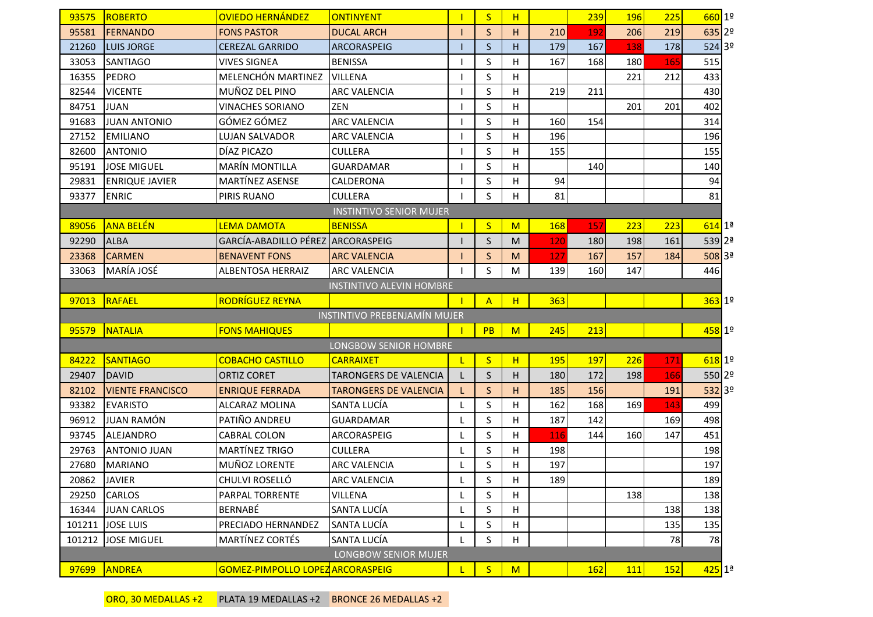| 93575  | ROBERTO                 | <b>OVIEDO HERNÁNDEZ</b>           | <b>ONTINYENT</b>                    |    | S              | H           |     | 239 | 196 | 225 | $660$ 1º              |  |
|--------|-------------------------|-----------------------------------|-------------------------------------|----|----------------|-------------|-----|-----|-----|-----|-----------------------|--|
| 95581  | <b>FERNANDO</b>         | <b>FONS PASTOR</b>                | <b>DUCAL ARCH</b>                   |    | $\mathsf{S}$   | H           | 210 | 192 | 206 | 219 | 635 2º                |  |
| 21260  | <b>LUIS JORGE</b>       | <b>CEREZAL GARRIDO</b>            | ARCORASPEIG                         |    | $\mathsf S$    | H           | 179 | 167 | 138 | 178 | 524 39                |  |
| 33053  | <b>SANTIAGO</b>         | <b>VIVES SIGNEA</b>               | <b>BENISSA</b>                      |    | S              | н           | 167 | 168 | 180 | 165 | 515                   |  |
| 16355  | PEDRO                   | MELENCHÓN MARTINEZ                | <b>VILLENA</b>                      |    | S              | H           |     |     | 221 | 212 | 433                   |  |
| 82544  | <b>VICENTE</b>          | MUÑOZ DEL PINO                    | <b>ARC VALENCIA</b>                 |    | S              | H           | 219 | 211 |     |     | 430                   |  |
| 84751  | <b>JUAN</b>             | <b>VINACHES SORIANO</b>           | ZEN                                 |    | S              | $\mathsf H$ |     |     | 201 | 201 | 402                   |  |
| 91683  | <b>JUAN ANTONIO</b>     | GÓMEZ GÓMEZ                       | <b>ARC VALENCIA</b>                 |    | S              | H           | 160 | 154 |     |     | 314                   |  |
| 27152  | <b>EMILIANO</b>         | <b>LUJAN SALVADOR</b>             | <b>ARC VALENCIA</b>                 |    | S              | н           | 196 |     |     |     | 196                   |  |
| 82600  | <b>ANTONIO</b>          | DÍAZ PICAZO                       | <b>CULLERA</b>                      |    | S              | H           | 155 |     |     |     | 155                   |  |
| 95191  | <b>JOSE MIGUEL</b>      | <b>MARÍN MONTILLA</b>             | <b>GUARDAMAR</b>                    |    | S              | H           |     | 140 |     |     | 140                   |  |
| 29831  | <b>ENRIQUE JAVIER</b>   | MARTÍNEZ ASENSE                   | CALDERONA                           | -1 | S              | Н           | 94  |     |     |     | 94                    |  |
| 93377  | <b>ENRIC</b>            | PIRIS RUANO                       | <b>CULLERA</b>                      |    | S              | H           | 81  |     |     |     | 81                    |  |
|        |                         |                                   | <b>INSTINTIVO SENIOR MUJER</b>      |    |                |             |     |     |     |     |                       |  |
| 89056  | <b>ANA BELÉN</b>        | <b>LEMA DAMOTA</b>                | <b>BENISSA</b>                      |    | S              | M           | 168 | 157 | 223 | 223 | $614$ 1ª              |  |
| 92290  | <b>ALBA</b>             | GARCÍA-ABADILLO PÉREZ ARCORASPEIG |                                     |    | S              | M           | 120 | 180 | 198 | 161 | $539 2^{\frac{a}{2}}$ |  |
| 23368  | <b>CARMEN</b>           | <b>BENAVENT FONS</b>              | <b>ARC VALENCIA</b>                 |    | $\mathsf S$    | M           | 127 | 167 | 157 | 184 | $508$ 3ª              |  |
| 33063  | MARÍA JOSÉ              | ALBENTOSA HERRAIZ                 | <b>ARC VALENCIA</b>                 |    | S              | M           | 139 | 160 | 147 |     | 446                   |  |
|        |                         |                                   | <b>INSTINTIVO ALEVIN HOMBRE</b>     |    |                |             |     |     |     |     |                       |  |
| 97013  | RAFAEL                  | <b>RODRÍGUEZ REYNA</b>            |                                     |    | $\overline{A}$ | H           | 363 |     |     |     | $363$ 1º              |  |
|        |                         |                                   | <b>INSTINTIVO PREBENJAMÍN MUJER</b> |    |                |             |     |     |     |     |                       |  |
| 95579  | <b>NATALIA</b>          | <b>FONS MAHIQUES</b>              |                                     |    | PB             | M           | 245 | 213 |     |     | 458 1º                |  |
|        |                         |                                   | LONGBOW SENIOR HOMBRE               |    |                |             |     |     |     |     |                       |  |
| 84222  | <b>SANTIAGO</b>         | <b>COBACHO CASTILLO</b>           | <b>CARRAIXET</b>                    | L  | S              | H           | 195 | 197 | 226 | 171 | $618$ 1 <sup>o</sup>  |  |
| 29407  | <b>DAVID</b>            | <b>ORTIZ CORET</b>                | <b>TARONGERS DE VALENCIA</b>        | L  | S              | H           | 180 | 172 | 198 | 166 | 550 2º                |  |
| 82102  | <b>VIENTE FRANCISCO</b> | <b>ENRIQUE FERRADA</b>            | <b>TARONGERS DE VALENCIA</b>        | L  | S              | н           | 185 | 156 |     | 191 | 532 3º                |  |
| 93382  | <b>EVARISTO</b>         | ALCARAZ MOLINA                    | SANTA LUCÍA                         | L  | S              | $\mathsf H$ | 162 | 168 | 169 | 143 | 499                   |  |
| 96912  | <b>JUAN RAMÓN</b>       | PATIÑO ANDREU                     | <b>GUARDAMAR</b>                    | L  | S              | H           | 187 | 142 |     | 169 | 498                   |  |
| 93745  | <b>ALEJANDRO</b>        | CABRAL COLON                      | ARCORASPEIG                         | L  | S              | Н           | 116 | 144 | 160 | 147 | 451                   |  |
| 29763  |                         |                                   |                                     |    |                |             |     |     |     |     |                       |  |
|        | <b>ANTONIO JUAN</b>     | <b>MARTÍNEZ TRIGO</b>             | <b>CULLERA</b>                      | L  | S              | н           | 198 |     |     |     | 198                   |  |
| 27680  | <b>MARIANO</b>          | MUÑOZ LORENTE                     | ARC VALENCIA                        | L  | S              | н           | 197 |     |     |     | 197                   |  |
| 20862  | <b>JAVIER</b>           | CHULVI ROSELLÓ                    | <b>ARC VALENCIA</b>                 | L  | S              | H           | 189 |     |     |     | 189                   |  |
| 29250  | CARLOS                  | PARPAL TORRENTE                   | VILLENA                             | L  | S              | H           |     |     | 138 |     | 138                   |  |
| 16344  | <b>JUAN CARLOS</b>      | BERNABÉ                           | SANTA LUCÍA                         | L  | S              | H           |     |     |     | 138 | 138                   |  |
| 101211 | <b>JOSE LUIS</b>        | PRECIADO HERNANDEZ                | SANTA LUCÍA                         | L  | S              | Н           |     |     |     | 135 | 135                   |  |
| 101212 | <b>JOSE MIGUEL</b>      | <b>MARTÍNEZ CORTÉS</b>            | SANTA LUCÍA                         | L  | S              | $\mathsf H$ |     |     |     | 78  | 78                    |  |
|        |                         |                                   | <b>LONGBOW SENIOR MUJER</b>         |    |                |             |     |     |     |     |                       |  |